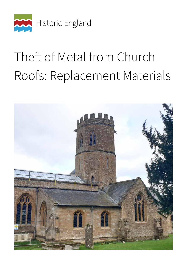

# Theft of Metal from Church Roofs: Replacement Materials

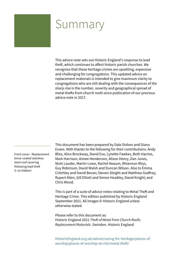### Summary

This advice note sets out Historic England's response to lead theft, which continues to affect historic parish churches. We recognise that these heritage crimes are upsetting, expensive and challenging for congregations. This updated advice on replacement materials is intended to give maximum clarity to congregations who are still dealing with the consequences of the sharp rise in the number, severity and geographical spread of metal thefts from church roofs since publication of our previous advice note in 2017.

Front cover: Replacement terne-coated stainless steel roof covering following lead theft © Jo Hibbert

This document has been prepared by Dale Dishon and Diana Evans. With thanks to the following for their contributions: Andy Bliss, Alice Brockway, David Eve, Lynette Fawkes, Beth Harries, Mark Harrison, Aimee Henderson, Alison Henry, Dan Jones, Nicki Lauder, Martin Lowe, Rachel Neaum, Rhiannon Rhys, Guy Robinson, David Walsh and Duncan Wilson. Also to Emma Critchley and David Bevan; Steven Sleight and Matthew Godfrey; Rupert Allen, Gill Elliott and Simon Headley; David Knight; and Chris Wood.

This is part of a suite of advice notes relating to Metal Theft and Heritage Crime. This edition published by Historic England September 2021. All images © Historic England unless otherwise stated.

Please refer to this document as: Historic England 2021 *Theft of Metal from Church Roofs: Replacement Materials*. Swindon. Historic England

[HistoricEngland.org.uk/advice/caring-for-heritage/places-of](http://HistoricEngland.org.uk/advice/caring-for-heritage/places-of-worship/places-of-worship-at-risk/metal-theft/)worship/places-of-worship-at-risk/metal-theft/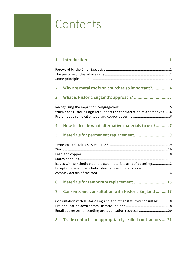# <span id="page-2-0"></span>Contents

| 1                                                                                                                              |                                                          |
|--------------------------------------------------------------------------------------------------------------------------------|----------------------------------------------------------|
|                                                                                                                                |                                                          |
| $\overline{2}$                                                                                                                 | Why are metal roofs on churches so important? 4          |
| 3                                                                                                                              |                                                          |
| When does Historic England support the consideration of alternatives  6                                                        |                                                          |
| 4                                                                                                                              | How to decide what alternative materials to use?7        |
| 5                                                                                                                              |                                                          |
| Issues with synthetic plastic-based materials as roof coverings12<br>Exceptional use of synthetic plastic-based materials on   |                                                          |
|                                                                                                                                |                                                          |
| 6                                                                                                                              | Materials for temporary replacement  15                  |
| 7                                                                                                                              | Consents and consultation with Historic England  17      |
| Consultation with Historic England and other statutory consultees 18<br>Email addresses for sending pre-application requests20 |                                                          |
| 8                                                                                                                              | Trade contacts for appropriately skilled contractors  21 |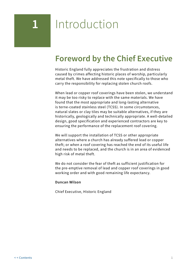# <span id="page-3-0"></span>**1** Introduction

### **Foreword by the Chief Executive**

Historic England fully appreciates the frustration and distress caused by crimes affecting historic places of worship, particularly metal theft. We have addressed this note specifically to those who carry the responsibility for replacing stolen church roofs.

When lead or copper roof coverings have been stolen, we understand it may be too risky to replace with the same materials. We have found that the most appropriate and long-lasting alternative is terne-coated stainless steel (TCSS). In some circumstances, natural slates or clay tiles may be suitable alternatives, if they are historically, geologically and technically appropriate. A well-detailed design, good specification and experienced contractors are key to ensuring the performance of the replacement roof covering.

We will support the installation of TCSS or other appropriate alternatives where a church has already suffered lead or copper theft; or when a roof covering has reached the end of its useful life and needs to be replaced, and the church is in an area of evidenced high risk of metal theft.

We do not consider the fear of theft as sufficient justification for the pre-emptive removal of lead and copper roof coverings in good working order and with good remaining life expectancy.

#### **Duncan Wilson**

Chief Executive, Historic England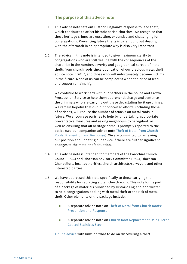#### **The purpose of this advice note**

- <span id="page-4-0"></span>1.1 This advice note sets out Historic England's response to lead theft, which continues to affect historic parish churches. We recognise that these heritage crimes are upsetting, expensive and challenging for congregations. Preventing future thefts is paramount but dealing with the aftermath in an appropriate way is also very important.
- 1.2 The advice in this note is intended to give maximum clarity to congregations who are still dealing with the consequences of the sharp rise in the number, severity and geographical spread of metal thefts from church roofs since publication of our previous metal theft advice note in 2017, and those who will unfortunately become victims in the future. None of us can be complacent when the price of lead and copper remains high.
- 1.3 We continue to work hard with our partners in the police and Crown Prosecution Service to help them apprehend, charge and sentence the criminals who are carrying out these devastating heritage crimes. We remain hopeful that our joint concerted efforts, including those of parishes, will reduce the number of attacks on metal roofs in future. We encourage parishes to help by undertaking appropriate preventative measures and asking neighbours to be vigilant, as well as ensuring that all heritage crime is promptly reported to the police (see our companion advice note [Theft of Metal from Church](https://historicengland.org.uk/images-books/publications/theft-metal-church-roofs-prevention-response/)  [Roofs: Prevention and Response](https://historicengland.org.uk/images-books/publications/theft-metal-church-roofs-prevention-response/)). We are committed to reviewing our position and updating our advice if there are further significant changes to the metal theft situation.
- 1.4 This advice note is intended for members of the Parochial Church Council (PCC) and Diocesan Advisory Committee (DAC), Diocesan Chancellors, local authorities, church architects/surveyors and other interested parties.
- 1.5 We have addressed this note specifically to those carrying the responsibility for replacing stolen church roofs. This note forms part of a package of materials published by Historic England and written to help congregations dealing with metal theft or the risk of metal theft. Other elements of the package include:
	- **A separate advice note on [Theft of Metal from Church Roofs:](https://historicengland.org.uk/images-books/publications/theft-metal-church-roofs-prevention-response/)** [Prevention and Response](https://historicengland.org.uk/images-books/publications/theft-metal-church-roofs-prevention-response/)
	- **A separate advice note on** [Church Roof Replacement Using Terne-](https://historicengland.org.uk/images-books/publications/church-roof-replacement-terne-coated-stainless-steel/)[Coated Stainless Steel](https://historicengland.org.uk/images-books/publications/church-roof-replacement-terne-coated-stainless-steel/)

[Online advice](https://historicengland.org.uk/advice/caring-for-heritage/heritage-crime/report/) with links on what to do on discovering a theft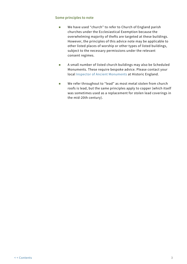#### <span id="page-5-0"></span>**Some principles to note**

- We have used "church" to refer to Church of England parish churches under the Ecclesiastical Exemption because the overwhelming majority of thefts are targeted at these buildings. However, the principles of this advice note may be applicable to other listed places of worship or other types of listed buildings, subject to the necessary permissions under the relevant consent regimes.
- A small number of listed church buildings may also be Scheduled Monuments. These require bespoke advice. Please contact your local [Inspector of Ancient Monuments](https://historicengland.org.uk/about/contact-us/local-offices/) at Historic England.
- We refer throughout to "lead" as most metal stolen from church roofs is lead, but the same principles apply to copper (which itself was sometimes used as a replacement for stolen lead coverings in the mid-20th century).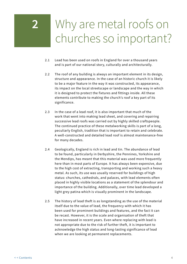# <span id="page-6-0"></span>**2** Why are metal roofs on churches so important?

- 2.1 Lead has been used on roofs in England for over a thousand years and is part of our national story, culturally and architecturally.
- 2.2 The roof of any building is always an important element in its design, structure and appearance. In the case of an historic church it is likely to be a major feature in the way it was constructed, its appearance, its impact on the local streetscape or landscape and the way in which it is designed to protect the fixtures and fittings inside. All these elements contribute to making the church's roof a key part of its significance.
- 2.3 In the case of a lead roof, it is also important that much of the work that went into making lead sheet, and covering and repairing successive lead roofs was carried out by highly skilled craftspeople. The continued practice of these metalworking skills is part of a long, peculiarly English, tradition that is important to retain and celebrate. A well-constructed and detailed lead roof is almost maintenance-free for many decades.
- 2.4 Geologically, England is rich in lead and tin. The abundance of lead to be found, particularly in Derbyshire, the Pennines, Yorkshire and the Mendips, has meant that this material was used more frequently here than in most parts of Europe. It has always been expensive, due to the high cost of extracting, transporting and working such a heavy metal. As such, its use was usually reserved for buildings of high status: churches, cathedrals, and palaces, with lead elements often placed in highly visible locations as a statement of the splendour and importance of the building. Additionally, over time lead developed a light grey patina which is visually prominent in the landscape.
- 2.5 The history of lead theft is as longstanding as the use of the material itself due to the value of lead, the frequency with which it has been used for prominent buildings and features, and the fact it can be recast. However, it is the scale and organisation of theft that have increased in recent years. Even where replacing with lead is not appropriate due to the risk of further theft, it is important to acknowledge the high status and long-lasting significance of lead when we are looking at permanent replacements.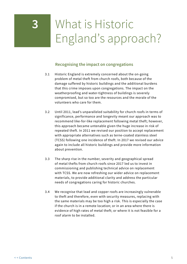# <span id="page-7-0"></span>**3** What is Historic England's approach?

### **Recognising the impact on congregations**

- 3.1 Historic England is extremely concerned about the on-going problem of metal theft from church roofs, both because of the damage suffered by historic buildings and the additional burdens that this crime imposes upon congregations. The impact on the weatherproofing and water-tightness of buildings is severely compromised, but so too are the resources and the morale of the volunteers who care for them.
- 3.2 Until 2011, lead's unparalleled suitability for church roofs in terms of significance, performance and longevity meant our approach was to recommend like-for-like replacement following metal theft; however, this approach became untenable given the huge increase in risk of repeated theft. In 2011 we revised our position to accept replacement with appropriate alternatives such as terne-coated stainless steel (TCSS) following one incidence of theft. In 2017 we revised our advice again to include all historic buildings and provide more information about prevention.
- 3.3 The sharp rise in the number, severity and geographical spread of metal thefts from church roofs since 2017 led us to invest in commissioning and publishing technical advice on replacement with TCSS. We are now refreshing our wider advice on replacement materials, to provide additional clarity and address the particular needs of congregations caring for historic churches.
- 3.4 We recognise that lead and copper roofs are increasingly vulnerable to theft and therefore, even with security measures, replacing with the same materials may be too high a risk. This is especially the case if the church is in a remote location; or in an area where there is evidence of high rates of metal theft; or where it is not feasible for a roof alarm to be installed.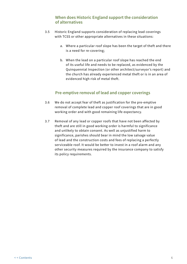#### **When does Historic England support the consideration of alternatives**

- <span id="page-8-0"></span>3.5 Historic England supports consideration of replacing lead coverings with TCSS or other appropriate alternatives in these situations:
	- a. Where a particular roof slope has been the target of theft and there is a need for re-covering;
	- b. When the lead on a particular roof slope has reached the end of its useful life and needs to be replaced, as evidenced by the Quinquennial Inspection (or other architect/surveyor's report) and the church has already experienced metal theft or is in an area of evidenced high risk of metal theft.

### **Pre-emptive removal of lead and copper coverings**

- 3.6 We do not accept fear of theft as justification for the pre-emptive removal of complete lead and copper roof coverings that are in good working order and with good remaining life expectancy.
- 3.7 Removal of any lead or copper roofs that have not been affected by theft and are still in good working order is harmful to significance and unlikely to obtain consent. As well as unjustified harm to significance, parishes should bear in mind the low salvage value of lead and the construction costs and fees of replacing a perfectly serviceable roof. It would be better to invest in a roof alarm and any other security measures required by the insurance company to satisfy its policy requirements.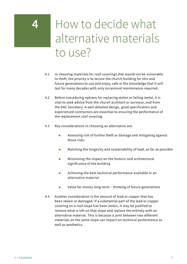## <span id="page-9-0"></span>**4** How to decide what alternative materials to use?

- 4.1 In choosing materials for roof coverings that would not be vulnerable to theft, the priority is to secure the church building for this and future generations to use and enjoy, safe in the knowledge that it will last for many decades with only occasional maintenance required.
- 4.2 Before considering options for replacing stolen or failing metal, it is vital to seek advice from the church architect or surveyor, and from the DAC Secretary. A well-detailed design, good specification and experienced contractors are essential to ensuring the performance of the replacement roof covering.
- 4.3 Key considerations in choosing an alternative are:
	- Assessing risk of further theft or damage and mitigating against those risks
	- **Matching the longevity and sustainability of lead, as far as possible**
	- **Minimising the impact on the historic and architectural** significance of the building
	- **EXECUTE:** Achieving the best technical performance available in an alternative material
	- Value for money long-term thinking of future generations
- 4.4 Another consideration is the amount of lead or copper that has been stolen or damaged. If a substantial part of the lead or copper covering on a roof slope has been stolen, it may be justified to remove what is left on that slope and replace the entirety with an alternative material. This is because a joint between two different materials on the same slope can impact on technical performance as well as aesthetics.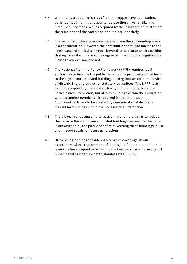- 4.5 Where only a couple of strips of lead or copper have been stolen, parishes may find it is cheaper to replace those like-for-like and install security measures, as required by the insurer, than to strip off the remainder of the roof slope and replace it entirely.
- 4.6 The visibility of the alternative material from the surrounding areas is a consideration. However, the contribution that lead makes to the significance of the building goes beyond its appearance, so anything that replaces it will have some degree of impact on that significance, whether you can see it or not.
- 4.7 The National Planning Policy Framework (NPPF) requires local authorities to balance the public benefits of a proposal against harm to the significance of listed buildings, taking into account the advice of Historic England and other statutory consultees. The NPPF tests would be applied by the local authority to buildings outside the Ecclesiastical Exemption, but also to buildings within the Exemption where planning permission is required ([see section s](#page-19-0)even). Equivalent tests would be applied by denominational decisionmakers for buildings within the Ecclesiastical Exemption.
- 4.8 Therefore, in choosing an alternative material, the aim is to reduce the harm to the significance of listed buildings and ensure the harm is outweighed by the public benefits of keeping these buildings in use and in good repair for future generations.
- 4.9 Historic England has considered a range of coverings. In our experience, where replacement of lead is justified, the material that is most often accepted as achieving the best balance of harm against public benefits is terne-coated stainless steel (TCSS).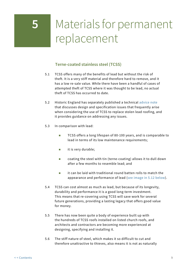# <span id="page-11-0"></span>**5** Materials for permanent replacement

### **Terne-coated stainless steel (TCSS)**

- 5.1 TCSS offers many of the benefits of lead but without the risk of theft. It is a very stiff material and therefore hard to remove, and it has a low re-sale value. While there have been a handful of cases of attempted theft of TCSS where it was thought to be lead, no actual theft of TCSS has occurred to date.
- 5.2 Historic England has separately published a technical [advice note](https://historicengland.org.uk/images-books/publications/church-roof-replacement-terne-coated-stainless-steel/) that discusses design and specification issues that frequently arise when considering the use of TCSS to replace stolen lead roofing, and it provides guidance on addressing any issues.
- 5.3 In comparison with lead:
	- TCSS offers a long lifespan of 80-100 years, and is comparable to lead in terms of its low maintenance requirements;
	- $\blacksquare$  it is very durable;
	- coating the steel with tin (terne-coating) allows it to dull down after a few months to resemble lead; and
	- **i** it can be laid with traditional round batten rolls to match the appearance and performance of lead [\(see image in 5.12 below](#page-13-1)).
- 5.4 TCSS can cost almost as much as lead, but because of its longevity, durability and performance it is a good long-term investment. This means that re-covering using TCSS will save work for several future generations, providing a lasting legacy that offers good value for money.
- 5.5 There has now been quite a body of experience built up with the hundreds of TCSS roofs installed on listed church roofs, and architects and contractors are becoming more experienced at designing, specifying and installing it.
- 5.6 The stiff nature of steel, which makes it so difficult to cut and therefore unattractive to thieves, also means it is not as naturally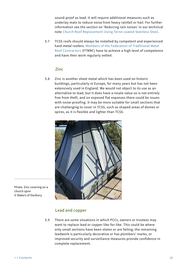<span id="page-12-0"></span>sound-proof as lead. It will require additional measures such as underlay mats to reduce noise from heavy rainfall or hail. For further information see the section on 'Reducing rain noises' in our technical note [Church Roof Replacement Using Terne-coated Stainless Steel](https://historicengland.org.uk/images-books/publications/church-roof-replacement-terne-coated-stainless-steel/).

5.7 TCSS roofs should always be installed by competent and experienced hard metal roofers. [Members of the Federation of Traditional Metal](https://ftmrc.co.uk/)  [Roof Contractors](https://ftmrc.co.uk/) (FTMRC) have to achieve a high level of competence and have their work regularly vetted.

#### **Zinc**

5.8 Zinc is another sheet metal which has been used on historic buildings, particularly in Europe, for many years but has not been extensively used in England. We would not object to its use as an alternative to lead, but it does have a resale value so is not entirely free from theft, and on exposed flat expanses there could be issues with noise-proofing. It may be more suitable for small sections that are challenging to cover in TCSS, such as shaped areas of domes or spires, as it is flexible and lighter than TCSS.



Photo: Zinc covering on a church spire © Bakers of Danbury

#### **Lead and copper**

5.9 There are some situations in which PCCs, owners or trustees may want to replace lead or copper like-for-like. This could be where only small sections have been stolen or are failing; the remaining leadwork is particularly decorative or has plumbers' marks; or improved security and surveillance measures provide confidence in complete replacement.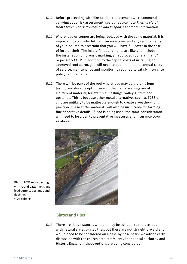- <span id="page-13-0"></span>5.10 Before proceeding with like-for-like replacement we recommend carrying out a risk assessment; see our advice note *Theft of Metal from Church Roofs: Prevention and Response* for more information.
- 5.11 Where lead or copper are being replaced with the same material, it is important to consider future insurance cover and any requirements of your insurer, to ascertain that you will have full cover in the case of further theft. The insurer's requirements are likely to include the installation of forensic marking, an approved roof alarm and/ or possibly CCTV. In addition to the capital costs of installing an approved roof alarm, you will need to bear in mind the annual costs of service, maintenance and monitoring required to satisfy insurance policy requirements.
- 5.12 There will be parts of the roof where lead may be the only longlasting and durable option, even if the main coverings are of a different material; for example, flashings, valley gutters and upstands. This is because other metal alternatives such as TCSS or zinc are unlikely to be malleable enough to create a weather-tight junction. These stiffer materials will also be unsuitable for forming fine decorative details. If lead is being used, the same consideration will need to be given to preventative measures and insurance cover as above.

<span id="page-13-1"></span>

Photo: TCSS roof covering with round batten rolls and lead gutters, upstands and flashings © Jo Hibbert

### **Slates and tiles**

5.13 There are circumstances where it may be suitable to replace lead with natural slates or clay tiles, but these are not straightforward and would need to be considered on a case-by-case basis. We advise early discussion with the church architect/surveyor, the local authority and Historic England if these options are being considered.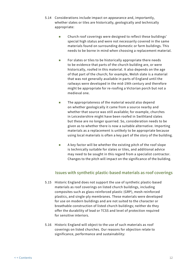- <span id="page-14-0"></span>5.14 Considerations include impact on appearance and, importantly, whether slates or tiles are historically, geologically and technically appropriate:
	- Church roof coverings were designed to reflect these buildings' special high status and were not necessarily covered in the same materials found on surrounding domestic or farm buildings. This needs to be borne in mind when choosing a replacement material.
	- $\blacksquare$  For slates or tiles to be historically appropriate there needs to be evidence that parts of the church building are, or were historically, roofed in this material. It also depends on the age of that part of the church; for example, Welsh slate is a material that was not generally available in parts of England until the railways were developed in the mid-19th century and therefore might be appropriate for re-roofing a Victorian porch but not a medieval one.
	- **The appropriateness of the material would also depend** on whether geologically it came from a source nearby and whether that source was still available; for example, churches in Leicestershire might have been roofed in Swithland slates but these are no longer quarried. So, consideration needs to be given as to whether there is now a suitable alternative. Importing materials as a replacement is unlikely to be appropriate because using local materials is often a key part of the story of the building.
	- $\blacksquare$  A key factor will be whether the existing pitch of the roof slope is technically suitable for slates or tiles, and additional advice may need to be sought in this regard from a specialist contractor. Changes to the pitch will impact on the significance of the building.

### **Issues with synthetic plastic-based materials as roof coverings**

- 5.15 Historic England does not support the use of synthetic plastic-based materials as roof coverings on listed church buildings, including composites such as glass-reinforced plastic (GRP), mesh-reinforced plastics, and single-ply membranes. These materials were developed for use on modern buildings and are not suited to the character or breathable construction of listed church buildings; neither do they offer the durability of lead or TCSS and level of protection required for sensitive interiors.
- 5.16 Historic England will object to the use of such materials as roof coverings on listed churches. Our reasons for objection relate to significance, performance and sustainability: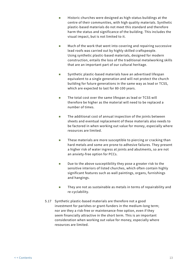- **Historic churches were designed as high-status buildings at the** centre of their communities, with high quality materials. Synthetic plastic-based materials do not meet this standard and therefore harm the status and significance of the building. This includes the visual impact, but is not limited to it.
- **Much of the work that went into covering and repairing successive** lead roofs was carried out by highly skilled craftspeople. Using synthetic plastic-based materials, designed for modern construction, entails the loss of the traditional metalworking skills that are an important part of our cultural heritage.
- Synthetic plastic-based materials have an advertised lifespan equivalent to a single generation and will not protect the church building for future generations in the same way as lead or TCSS, which are expected to last for 80-100 years.
- The total cost over the same lifespan as lead or TCSS will therefore be higher as the material will need to be replaced a number of times.
- **The additional cost of annual inspection of the joints between** sheets and eventual replacement of these materials also needs to be factored in when working out value for money, especially where resources are limited.
- **These materials are more susceptible to piercing or cracking than** hard metals and some are prone to adhesive failures. They present a higher risk of water ingress at joints and abutments, so are not an anxiety-free option for PCCs.
- $\blacksquare$  Due to the above susceptibility they pose a greater risk to the sensitive interiors of listed churches, which often contain highly significant features such as wall paintings, organs, furnishings and hangings.
- **They are not as sustainable as metals in terms of repairability and** re-cyclability.
- 5.17 Synthetic plastic-based materials are therefore not a good investment for parishes or grant-funders in the medium-long term; nor are they a risk-free or maintenance-free option, even if they seem financially attractive in the short term. This is an important consideration when working out value for money, especially where resources are limited.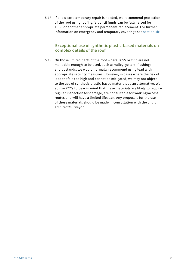<span id="page-16-0"></span>5.18 If a low-cost temporary repair is needed, we recommend protection of the roof using roofing felt until funds can be fully raised for TCSS or another appropriate permanent replacement. For further information on emergency and temporary coverings see [section](#page-17-0) six.

#### **Exceptional use of synthetic plastic-based materials on complex details of the roof**

5.19 On those limited parts of the roof where TCSS or zinc are not malleable enough to be used, such as valley gutters, flashings and upstands, we would normally recommend using lead with appropriate security measures. However, in cases where the risk of lead theft is too high and cannot be mitigated, we may not object to the use of synthetic plastic-based materials as an alternative. We advise PCCs to bear in mind that these materials are likely to require regular inspection for damage, are not suitable for walking/access routes and will have a limited lifespan. Any proposals for the use of these materials should be made in consultation with the church architect/surveyor.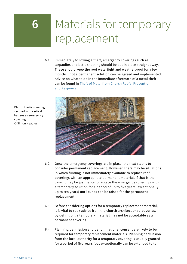# <span id="page-17-0"></span>Materials for temporary replacement

6.1 Immediately following a theft, emergency coverings such as tarpaulins or plastic sheeting should be put in place straight away. These should keep the roof watertight and weatherproof for a few months until a permanent solution can be agreed and implemented. Advice on what to do in the immediate aftermath of a metal theft can be found in [Theft of Metal from Church Roofs: Prevention](https://historicengland.org.uk/images-books/publications/theft-metal-church-roofs-prevention-response/)  [and Response.](https://historicengland.org.uk/images-books/publications/theft-metal-church-roofs-prevention-response/)



- 6.2 Once the emergency coverings are in place, the next step is to consider permanent replacement. However, there may be situations in which funding is not immediately available to replace roof coverings with an appropriate permanent material. If that is the case, it may be justifiable to replace the emergency coverings with a temporary solution for a period of up to five years (exceptionally up to ten years) until funds can be raised for the permanent replacement.
- 6.3 Before considering options for a temporary replacement material, it is vital to seek advice from the church architect or surveyor as, by definition, a temporary material may not be acceptable as a permanent covering.
- 6.4 Planning permission and denominational consent are likely to be required for temporary replacement materials. Planning permission from the local authority for a temporary covering is usually granted for a period of five years (but exceptionally can be extended to ten

Photo: Plastic sheeting secured with vertical battens as emergency covering © Simon Headley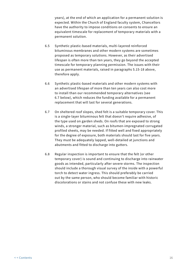years), at the end of which an application for a permanent solution is expected. Within the Church of England faculty system, Chancellors have the authority to impose conditions on consents to ensure an equivalent timescale for replacement of temporary materials with a permanent solution.

- 6.5 Synthetic plastic-based materials, multi-layered reinforced bituminous membranes and other modern systems are sometimes proposed as temporary solutions. However, as their advertised lifespan is often more than ten years, they go beyond the accepted timescale for temporary planning permission. The issues with their use as permanent materials, raised in paragraphs 5.15-18 above, therefore apply.
- 6.6 Synthetic plastic-based materials and other modern systems with an advertised lifespan of more than ten years can also cost more to install than our recommended temporary alternatives (see 6.7 below), which reduces the funding available for a permanent replacement that will last for several generations.
- 6.7 On sheltered roof slopes, shed felt is a suitable temporary cover. This is a single-layer bituminous felt that doesn't require adhesive, of the type used on garden sheds. On roofs that are exposed to strong winds, a stronger material, such as bitumen-impregnated corrugated profiled sheets, may be needed. If fitted well and fixed appropriately for the degree of exposure, both materials should last for five years. They must be adequately lapped, well-detailed at junctions and abutments and fitted to discharge into gutters.
- 6.8 Regular inspection is important to ensure that the felt (or other temporary cover) is sound and continuing to discharge into rainwater goods as intended, particularly after severe storms. The inspection should include a thorough visual survey of the inside with a powerful torch to detect water ingress. This should preferably be carried out by the same person, who should become familiar with historic discolorations or stains and not confuse these with new leaks.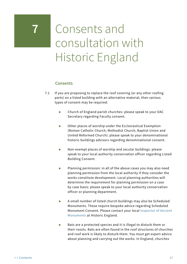# <span id="page-19-0"></span>**7** Consents and consultation with Historic England

### **Consents**

- 7.1 If you are proposing to replace the roof covering (or any other roofing parts) on a listed building with an alternative material, then various types of consent may be required:
	- Church of England parish churches: please speak to your DAC Secretary regarding Faculty consent.
	- **Dubber 2** Other places of worship under the Ecclesiastical Exemption (Roman Catholic Church, Methodist Church, Baptist Union and United Reformed Church): please speak to your denominational historic buildings advisors regarding denominational consent.
	- Non-exempt places of worship and secular buildings: please speak to your local authority conservation officer regarding Listed Building Consent.
	- **Planning permission: in all of the above cases you may also need** planning permission from the local authority if they consider the works constitute development. Local planning authorities will determine the requirement for planning permission on a case by case basis: please speak to your local authority conservation officer or planning department.
	- A small number of listed church buildings may also be Scheduled Monuments. These require bespoke advice regarding Scheduled Monument Consent. Please contact your local [Inspector of Ancient](https://historicengland.org.uk/about/contact-us/local-offices/)  [Monuments a](https://historicengland.org.uk/about/contact-us/local-offices/)t Historic England.
	- Bats are a protected species and it is illegal to disturb them or their roosts. Bats are often found in the roof structures of churches and roof work is likely to disturb them. You must get expert advice about planning and carrying out the works. In England, churches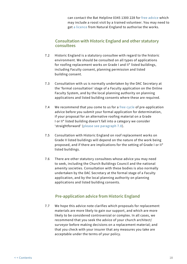can contact the Bat Helpline 0345 1300 228 for [free advice](https://www.bats.org.uk/our-work/buildings-planning-and-development/bats-and-churches/bats-and-building-work-in-churches) which may include a roost visit by a trained volunteer. You may need to get [a licence](https://www.gov.uk/government/collections/bat-licences) from Natural England to authorise the works.

### <span id="page-20-0"></span>**Consultation with Historic England and other statutory consultees**

- 7.2 Historic England is a statutory consultee with regard to the historic environment. We should be consulted on all types of applications for roofing replacement works on Grade I and II\* listed buildings, including Faculty consent, planning permission and listed building consent.
- 7.3 Consultation with us is normally undertaken by the DAC Secretary at the 'formal consultation' stage of a Faculty application on the Online Faculty System, and by the local planning authority on planning applications and listed building consents where these are required.
- 7.4 We recommend that you come to us for a [free cycle](https://historicengland.org.uk/services-skills/our-planning-services/charter/Our-pre-application-advisory-service/) of pre-application advice before you submit your formal application for determination, if your proposal for an alternative roofing material on a Grade I or II\* listed building doesn't fall into a category we consider 'straightforward' ([please see paragraph 7.8](#page-21-0)).
- 7.5 Consultation with Historic England on roof replacement works on Grade II listed buildings will depend on the nature of the work being proposed, and if there are implications for the setting of Grade I or II\* listed buildings.
- 7.6 There are other statutory consultees whose advice you may need to seek, including the Church Buildings Council and the national amenity societies. Consultation with these bodies is also normally undertaken by the DAC Secretary at the formal stage of a Faculty application, and by the local planning authority on planning applications and listed building consents.

### **Pre-application advice from Historic England**

7.7 We hope this advice note clarifies which proposals for replacement materials are more likely to gain our support, and which are more likely to be considered controversial or complex. In all cases, we recommend that you seek the advice of your church architect/ surveyor before making decisions on a replacement material; and that you check with your insurer that any measures you take are acceptable under the terms of your policy.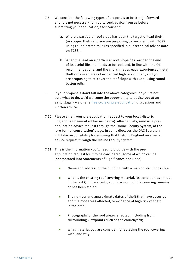- <span id="page-21-0"></span>7.8 We consider the following types of proposals to be straightforward and it is not necessary for you to seek advice from us before submitting your application/s for consent:
	- a. Where a particular roof slope has been the target of lead theft (or copper theft) and you are proposing to re-cover it with TCSS, using round batten rolls (as specified in our technical advice note on TCSS);
	- b. When the lead on a particular roof slope has reached the end of its useful life and needs to be replaced, in line with the QI recommendations; and the church has already experienced metal theft or is in an area of evidenced high risk of theft; and you are proposing to re-cover the roof slope with TCSS, using round batten rolls.
- 7.9 If your proposals don't fall into the above categories, or you're not sure what to do, we'd welcome the opportunity to advise you at an early stage – we offer a [free cycle of pre-application](https://historicengland.org.uk/services-skills/our-planning-services/charter/Our-pre-application-advisory-service/) discussions and written advice.
- 7.10 Please email your pre-application request to your local Historic England team (email addresses below). Alternatively, send us a preapplication advice request through the Online Faculty System, at the 'pre-formal consultation' stage. In some dioceses the DAC Secretary will take responsibility for ensuring that Historic England receives an advice request through the Online Faculty System.
- 7.11 This is the information you'll need to provide with the preapplication request for it to be considered (some of which can be incorporated into Statements of Significance and Need):
	- $\blacksquare$  Name and address of the building, with a map or plan if possible;
	- What is the existing roof covering material, its condition as set out in the last QI (if relevant), and how much of the covering remains or has been stolen;
	- **The number and approximate dates of theft that have occurred** and the roof areas affected, or evidence of high risk of theft in the area;
	- **Photographs of the roof area/s affected, including from** surrounding viewpoints such as the churchyard;
	- **NHET What material you are considering replacing the roof covering** with, and why;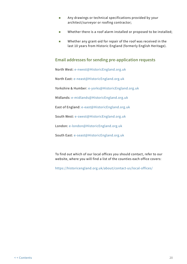- <span id="page-22-0"></span>**Any drawings or technical specifications provided by your** architect/surveyor or roofing contractor;
- Whether there is a roof alarm installed or proposed to be installed;
- Whether any grant-aid for repair of the roof was received in the last 10 years from Historic England (formerly English Heritage).

#### **Email addresses for sending pre-application requests**

North West: [e-nwest@HistoricEngland.org.uk](mailto:e-nwest%40HistoricEngland.org.uk?subject=)

North East: [e-neast@HistoricEngland.org.uk](mailto:e-neast%40HistoricEngland.org.uk?subject=)

Yorkshire & Humber: [e-yorks@HistoricEngland.org.uk](mailto:e-yorks%40HistoricEngland.org.uk?subject=)

Midlands: [e-midlands@HistoricEngland.org.uk](mailto:e-midlands%40HistoricEngland.org.uk?subject=)

East of England: [e-east@HistoricEngland.org.uk](mailto:e-east%40HistoricEngland.org.uk?subject=)

South West: [e-swest@HistoricEngland.org.uk](mailto:e-swest%40HistoricEngland.org.uk?subject=)

London: [e-london@HistoricEngland.org.uk](mailto:e-london%40HistoricEngland.org.uk?subject=)

South East: [e-seast@HistoricEngland.org.uk](mailto:e-seast%40HistoricEngland.org.uk?subject=)

To find out which of our local offices you should contact, refer to our website, where you will find a list of the counties each office covers:

[https://historicengland.org.uk/about/contact-us/local-offices/](https://historicengland.org.uk/about/contact-us/local-offices/ )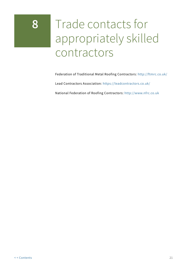# <span id="page-23-0"></span>**8** Trade contacts for appropriately skilled contractors

Federation of Traditional Metal Roofing Contractors:<http://ftmrc.co.uk/>

Lead Contractors Association: <https://leadcontractors.co.uk/>

National Federation of Roofing Contractors: <http://www.nfrc.co.uk>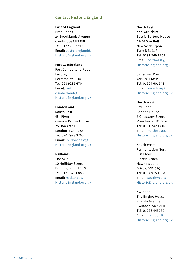#### **Contact Historic England**

**East of England** Brooklands 24 Brooklands Avenue Cambridge CB2 8BU Tel: 01223 582749 Email: [eastofengland@](mailto:eastofengland%40HistoricEngland.org.uk?subject=Guidance) [HistoricEngland.org.uk](mailto:eastofengland%40HistoricEngland.org.uk?subject=Guidance)

#### **Fort Cumberland** Fort Cumberland Road Eastney Portsmouth PO4 9LD Tel: 023 9285 6704 Email: [fort.](mailto:fort.cumberland%40HistoricEngland.org.uk?subject=Guidance) [cumberland@](mailto:fort.cumberland%40HistoricEngland.org.uk?subject=Guidance) [HistoricEngland.org.uk](mailto:fort.cumberland%40HistoricEngland.org.uk?subject=Guidance)

**London and South East** 4th Floor Cannon Bridge House 25 Dowgate Hill London EC4R 2YA Tel: 020 7973 3700 Email: [londonseast@](mailto:londonseast%40HistoricEngland.org.uk?subject=Guidance) [HistoricEngland.org.uk](mailto:londonseast%40HistoricEngland.org.uk?subject=Guidance)

#### **Midlands**

The Axis 10 Holliday Street Birmingham B1 1TG Tel: 0121 625 6888 Email: [midlands@](mailto:midlands%40HistoricEngland.org.uk?subject=Guidance) [HistoricEngland.org.uk](mailto:midlands%40HistoricEngland.org.uk?subject=Guidance) **North East and Yorkshire** Bessie Surtees House 41-44 Sandhill Newcastle Upon Tyne NE1 3JF Tel: 0191 269 1255 Email: [northeast@](mailto:northeast%40HistoricEngland.org.uk?subject=Guidance) [HistoricEngland.org.uk](mailto:northeast%40HistoricEngland.org.uk?subject=Guidance)

37 Tanner Row York YO1 6WP Tel: 01904 601948 Email: [yorkshire@](mailto:yorkshire%40HistoricEngland.org.uk?subject=Guidance) [HistoricEngland.org.uk](mailto:yorkshire%40HistoricEngland.org.uk?subject=Guidance)

#### **North West**

3rd Floor, Canada House 3 Chepstow Street Manchester M1 5FW Tel: 0161 242 1416 Email: [northwest@](mailto:northwest%40HistoricEngland.org.uk?subject=Guidance) [HistoricEngland.org.uk](mailto:northwest%40HistoricEngland.org.uk?subject=Guidance)

#### **South West**

Fermentation North (1st Floor) Finzels Reach Hawkins Lane Bristol BS1 6JQ Tel: 0117 975 1308 Email: [southwest@](mailto:southwest%40HistoricEngland.org.uk?subject=Guidance) [HistoricEngland.org.uk](mailto:southwest%40HistoricEngland.org.uk?subject=Guidance)

#### **Swindon**

The Engine House Fire Fly Avenue Swindon SN2 2EH Tel: 01793 445050 Email: [swindon@](mailto:swindon%40HistoricEngland.org.uk?subject=Guidance) [HistoricEngland.org.uk](mailto:swindon%40HistoricEngland.org.uk?subject=Guidance)